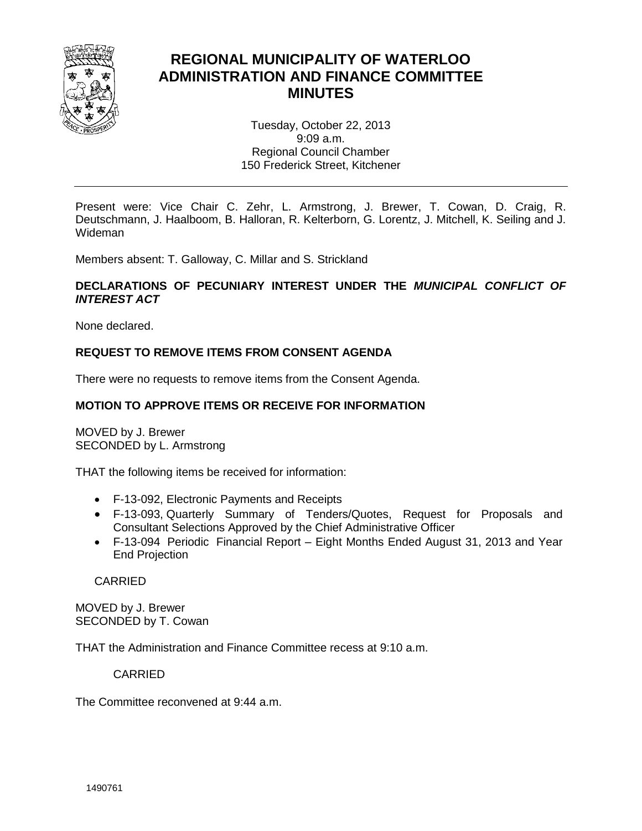

# **REGIONAL MUNICIPALITY OF WATERLOO ADMINISTRATION AND FINANCE COMMITTEE MINUTES**

Tuesday, October 22, 2013 9:09 a.m. Regional Council Chamber 150 Frederick Street, Kitchener

Present were: Vice Chair C. Zehr, L. Armstrong, J. Brewer, T. Cowan, D. Craig, R. Deutschmann, J. Haalboom, B. Halloran, R. Kelterborn, G. Lorentz, J. Mitchell, K. Seiling and J. Wideman

Members absent: T. Galloway, C. Millar and S. Strickland

## **DECLARATIONS OF PECUNIARY INTEREST UNDER THE** *MUNICIPAL CONFLICT OF INTEREST ACT*

None declared.

# **REQUEST TO REMOVE ITEMS FROM CONSENT AGENDA**

There were no requests to remove items from the Consent Agenda.

## **MOTION TO APPROVE ITEMS OR RECEIVE FOR INFORMATION**

MOVED by J. Brewer SECONDED by L. Armstrong

THAT the following items be received for information:

- F-13-092, Electronic Payments and Receipts
- F-13-093, Quarterly Summary of Tenders/Quotes, Request for Proposals and Consultant Selections Approved by the Chief Administrative Officer
- F-13-094 Periodic Financial Report Eight Months Ended August 31, 2013 and Year End Projection

CARRIED

MOVED by J. Brewer SECONDED by T. Cowan

THAT the Administration and Finance Committee recess at 9:10 a.m.

CARRIED

The Committee reconvened at 9:44 a.m.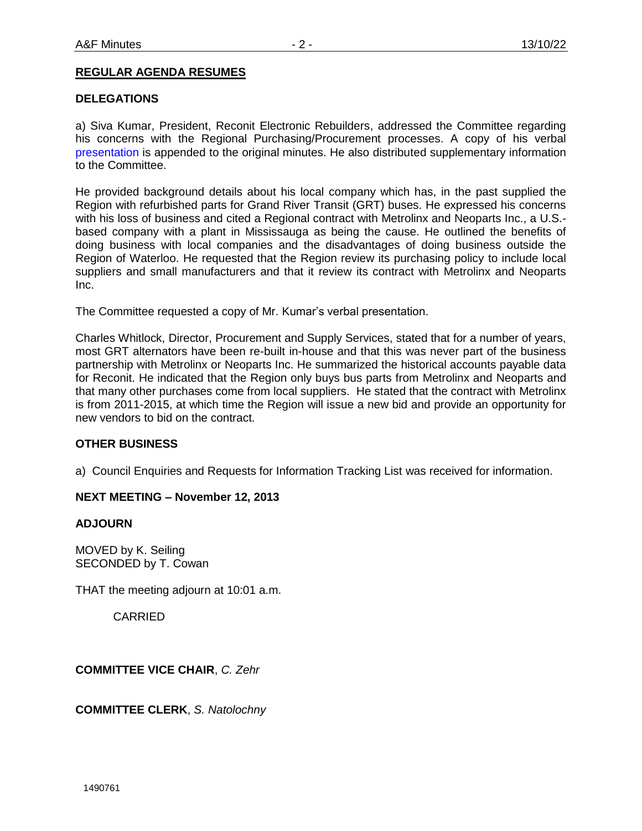## **REGULAR AGENDA RESUMES**

#### **DELEGATIONS**

a) Siva Kumar, President, Reconit Electronic Rebuilders, addressed the Committee regarding his concerns with the Regional Purchasing/Procurement processes. A copy of his verbal [presentation](#page-2-0) is appended to the original minutes. He also distributed supplementary information to the Committee.

He provided background details about his local company which has, in the past supplied the Region with refurbished parts for Grand River Transit (GRT) buses. He expressed his concerns with his loss of business and cited a Regional contract with Metrolinx and Neoparts Inc., a U.S. based company with a plant in Mississauga as being the cause. He outlined the benefits of doing business with local companies and the disadvantages of doing business outside the Region of Waterloo. He requested that the Region review its purchasing policy to include local suppliers and small manufacturers and that it review its contract with Metrolinx and Neoparts Inc.

The Committee requested a copy of Mr. Kumar's verbal presentation.

Charles Whitlock, Director, Procurement and Supply Services, stated that for a number of years, most GRT alternators have been re-built in-house and that this was never part of the business partnership with Metrolinx or Neoparts Inc. He summarized the historical accounts payable data for Reconit. He indicated that the Region only buys bus parts from Metrolinx and Neoparts and that many other purchases come from local suppliers. He stated that the contract with Metrolinx is from 2011-2015, at which time the Region will issue a new bid and provide an opportunity for new vendors to bid on the contract.

#### **OTHER BUSINESS**

a) Council Enquiries and Requests for Information Tracking List was received for information.

#### **NEXT MEETING – November 12, 2013**

#### **ADJOURN**

MOVED by K. Seiling SECONDED by T. Cowan

THAT the meeting adjourn at 10:01 a.m.

CARRIED

**COMMITTEE VICE CHAIR**, *C. Zehr*

**COMMITTEE CLERK**, *S. Natolochny*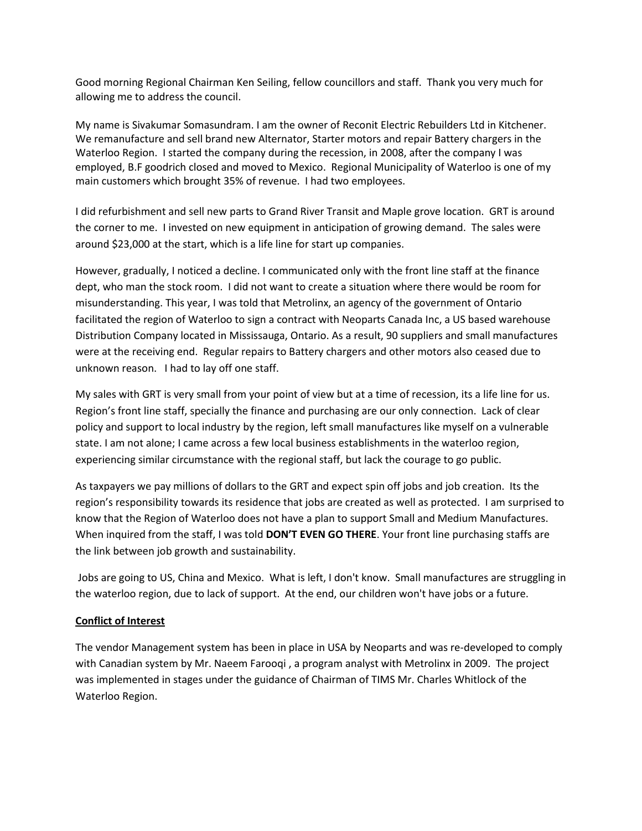<span id="page-2-0"></span>Good morning Regional Chairman Ken Seiling, fellow councillors and staff. Thank you very much for allowing me to address the council.

My name is Sivakumar Somasundram. I am the owner of Reconit Electric Rebuilders Ltd in Kitchener. We remanufacture and sell brand new Alternator, Starter motors and repair Battery chargers in the Waterloo Region. I started the company during the recession, in 2008, after the company I was employed, B.F goodrich closed and moved to Mexico. Regional Municipality of Waterloo is one of my main customers which brought 35% of revenue. I had two employees.

I did refurbishment and sell new parts to Grand River Transit and Maple grove location. GRT is around the corner to me. I invested on new equipment in anticipation of growing demand. The sales were around \$23,000 at the start, which is a life line for start up companies.

However, gradually, I noticed a decline. I communicated only with the front line staff at the finance dept, who man the stock room. I did not want to create a situation where there would be room for misunderstanding. This year, I was told that Metrolinx, an agency of the government of Ontario facilitated the region of Waterloo to sign a contract with Neoparts Canada Inc, a US based warehouse Distribution Company located in Mississauga, Ontario. As a result, 90 suppliers and small manufactures were at the receiving end. Regular repairs to Battery chargers and other motors also ceased due to unknown reason. I had to lay off one staff.

My sales with GRT is very small from your point of view but at a time of recession, its a life line for us. Region's front line staff, specially the finance and purchasing are our only connection. Lack of clear policy and support to local industry by the region, left small manufactures like myself on a vulnerable state. I am not alone; I came across a few local business establishments in the waterloo region, experiencing similar circumstance with the regional staff, but lack the courage to go public.

As taxpayers we pay millions of dollars to the GRT and expect spin off jobs and job creation. Its the region's responsibility towards its residence that jobs are created as well as protected. I am surprised to know that the Region of Waterloo does not have a plan to support Small and Medium Manufactures. When inquired from the staff, I was told **DON'T EVEN GO THERE**. Your front line purchasing staffs are the link between job growth and sustainability.

Jobs are going to US, China and Mexico. What is left, I don't know. Small manufactures are struggling in the waterloo region, due to lack of support. At the end, our children won't have jobs or a future.

# **Conflict of Interest**

The vendor Management system has been in place in USA by Neoparts and was re-developed to comply with Canadian system by Mr. Naeem Farooqi , a program analyst with Metrolinx in 2009. The project was implemented in stages under the guidance of Chairman of TIMS Mr. Charles Whitlock of the Waterloo Region.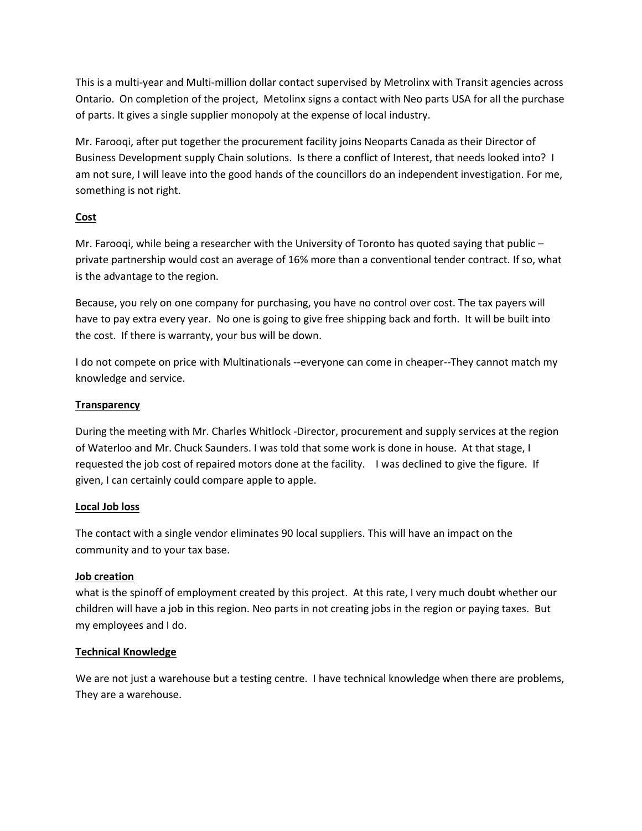This is a multi-year and Multi-million dollar contact supervised by Metrolinx with Transit agencies across Ontario. On completion of the project, Metolinx signs a contact with Neo parts USA for all the purchase of parts. It gives a single supplier monopoly at the expense of local industry.

Mr. Farooqi, after put together the procurement facility joins Neoparts Canada as their Director of Business Development supply Chain solutions. Is there a conflict of Interest, that needs looked into? I am not sure, I will leave into the good hands of the councillors do an independent investigation. For me, something is not right.

# **Cost**

Mr. Farooqi, while being a researcher with the University of Toronto has quoted saying that public – private partnership would cost an average of 16% more than a conventional tender contract. If so, what is the advantage to the region.

Because, you rely on one company for purchasing, you have no control over cost. The tax payers will have to pay extra every year. No one is going to give free shipping back and forth. It will be built into the cost. If there is warranty, your bus will be down.

I do not compete on price with Multinationals --everyone can come in cheaper--They cannot match my knowledge and service.

# **Transparency**

During the meeting with Mr. Charles Whitlock -Director, procurement and supply services at the region of Waterloo and Mr. Chuck Saunders. I was told that some work is done in house. At that stage, I requested the job cost of repaired motors done at the facility. I was declined to give the figure. If given, I can certainly could compare apple to apple.

# **Local Job loss**

The contact with a single vendor eliminates 90 local suppliers. This will have an impact on the community and to your tax base.

# **Job creation**

what is the spinoff of employment created by this project. At this rate, I very much doubt whether our children will have a job in this region. Neo parts in not creating jobs in the region or paying taxes. But my employees and I do.

# **Technical Knowledge**

We are not just a warehouse but a testing centre. I have technical knowledge when there are problems, They are a warehouse.